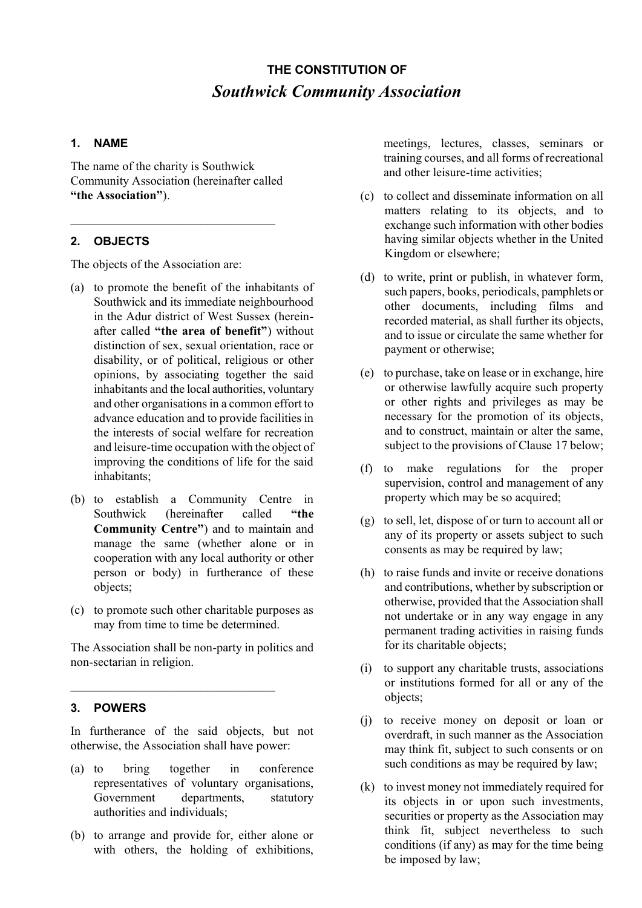# **THE CONSTITUTION OF** *Southwick Community Association*

## **1. NAME**

The name of the charity is Southwick Community Association (hereinafter called **"the Association"**).

 $\mathcal{L}_\text{max}$ 

# **2. OBJECTS**

The objects of the Association are:

- (a) to promote the benefit of the inhabitants of Southwick and its immediate neighbourhood in the Adur district of West Sussex (hereinafter called **"the area of benefit"**) without distinction of sex, sexual orientation, race or disability, or of political, religious or other opinions, by associating together the said inhabitants and the local authorities, voluntary and other organisations in a common effort to advance education and to provide facilities in the interests of social welfare for recreation and leisure-time occupation with the object of improving the conditions of life for the said inhabitants;
- (b) to establish a Community Centre in Southwick (hereinafter called **"the Community Centre"**) and to maintain and manage the same (whether alone or in cooperation with any local authority or other person or body) in furtherance of these objects;
- (c) to promote such other charitable purposes as may from time to time be determined.

The Association shall be non-party in politics and non-sectarian in religion.

\_\_\_\_\_\_\_\_\_\_\_\_\_\_\_\_\_\_\_\_\_\_\_\_\_\_\_\_\_\_\_\_\_

# **3. POWERS**

In furtherance of the said objects, but not otherwise, the Association shall have power:

- (a) to bring together in conference representatives of voluntary organisations, Government departments, statutory authorities and individuals;
- (b) to arrange and provide for, either alone or with others, the holding of exhibitions,

meetings, lectures, classes, seminars or training courses, and all forms of recreational and other leisure-time activities;

- (c) to collect and disseminate information on all matters relating to its objects, and to exchange such information with other bodies having similar objects whether in the United Kingdom or elsewhere;
- (d) to write, print or publish, in whatever form, such papers, books, periodicals, pamphlets or other documents, including films and recorded material, as shall further its objects, and to issue or circulate the same whether for payment or otherwise;
- (e) to purchase, take on lease or in exchange, hire or otherwise lawfully acquire such property or other rights and privileges as may be necessary for the promotion of its objects, and to construct, maintain or alter the same, subject to the provisions of Clause 17 below;
- (f) to make regulations for the proper supervision, control and management of any property which may be so acquired;
- (g) to sell, let, dispose of or turn to account all or any of its property or assets subject to such consents as may be required by law;
- (h) to raise funds and invite or receive donations and contributions, whether by subscription or otherwise, provided that the Association shall not undertake or in any way engage in any permanent trading activities in raising funds for its charitable objects;
- (i) to support any charitable trusts, associations or institutions formed for all or any of the objects;
- (j) to receive money on deposit or loan or overdraft, in such manner as the Association may think fit, subject to such consents or on such conditions as may be required by law;
- (k) to invest money not immediately required for its objects in or upon such investments, securities or property as the Association may think fit, subject nevertheless to such conditions (if any) as may for the time being be imposed by law;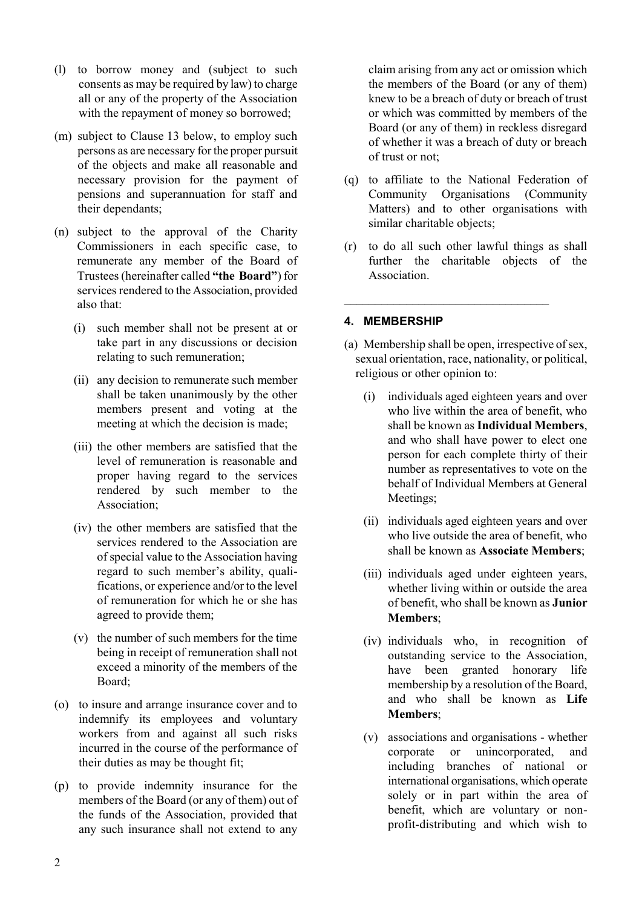- (l) to borrow money and (subject to such consents as may be required by law) to charge all or any of the property of the Association with the repayment of money so borrowed;
- (m) subject to Clause 13 below, to employ such persons as are necessary for the proper pursuit of the objects and make all reasonable and necessary provision for the payment of pensions and superannuation for staff and their dependants;
- (n) subject to the approval of the Charity Commissioners in each specific case, to remunerate any member of the Board of Trustees (hereinafter called **"the Board"**) for services rendered to the Association, provided also that:
	- (i) such member shall not be present at or take part in any discussions or decision relating to such remuneration;
	- (ii) any decision to remunerate such member shall be taken unanimously by the other members present and voting at the meeting at which the decision is made;
	- (iii) the other members are satisfied that the level of remuneration is reasonable and proper having regard to the services rendered by such member to the Association;
	- (iv) the other members are satisfied that the services rendered to the Association are of special value to the Association having regard to such member's ability, qualifications, or experience and/or to the level of remuneration for which he or she has agreed to provide them;
	- (v) the number of such members for the time being in receipt of remuneration shall not exceed a minority of the members of the Board;
- (o) to insure and arrange insurance cover and to indemnify its employees and voluntary workers from and against all such risks incurred in the course of the performance of their duties as may be thought fit;
- (p) to provide indemnity insurance for the members of the Board (or any of them) out of the funds of the Association, provided that any such insurance shall not extend to any

claim arising from any act or omission which the members of the Board (or any of them) knew to be a breach of duty or breach of trust or which was committed by members of the Board (or any of them) in reckless disregard of whether it was a breach of duty or breach of trust or not;

- (q) to affiliate to the National Federation of Community Organisations (Community Matters) and to other organisations with similar charitable objects;
- (r) to do all such other lawful things as shall further the charitable objects of the Association.

 $\mathcal{L}_\text{max}$ 

# **4. MEMBERSHIP**

- (a) Membership shall be open, irrespective of sex, sexual orientation, race, nationality, or political, religious or other opinion to:
	- (i) individuals aged eighteen years and over who live within the area of benefit, who shall be known as **Individual Members**, and who shall have power to elect one person for each complete thirty of their number as representatives to vote on the behalf of Individual Members at General Meetings;
	- (ii) individuals aged eighteen years and over who live outside the area of benefit, who shall be known as **Associate Members**;
	- (iii) individuals aged under eighteen years, whether living within or outside the area of benefit, who shall be known as **Junior Members**;
	- (iv) individuals who, in recognition of outstanding service to the Association, have been granted honorary life membership by a resolution of the Board, and who shall be known as **Life Members**;
	- (v) associations and organisations whether corporate or unincorporated, and including branches of national or international organisations, which operate solely or in part within the area of benefit, which are voluntary or nonprofit-distributing and which wish to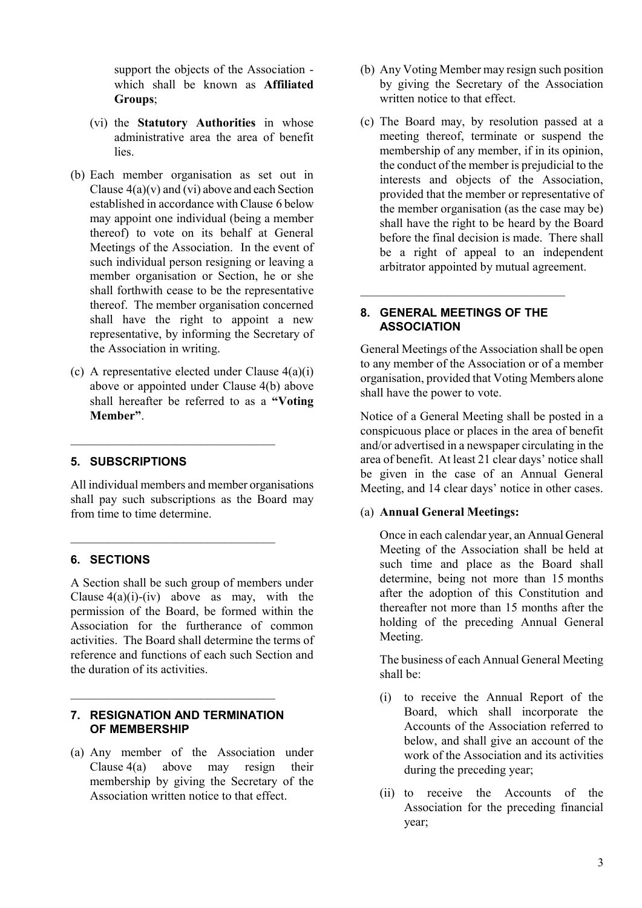support the objects of the Association which shall be known as **Affiliated Groups**;

- (vi) the **Statutory Authorities** in whose administrative area the area of benefit lies.
- (b) Each member organisation as set out in Clause  $4(a)(v)$  and (vi) above and each Section established in accordance with Clause 6 below may appoint one individual (being a member thereof) to vote on its behalf at General Meetings of the Association. In the event of such individual person resigning or leaving a member organisation or Section, he or she shall forthwith cease to be the representative thereof. The member organisation concerned shall have the right to appoint a new representative, by informing the Secretary of the Association in writing.
- (c) A representative elected under Clause 4(a)(i) above or appointed under Clause 4(b) above shall hereafter be referred to as a **"Voting Member"**.

\_\_\_\_\_\_\_\_\_\_\_\_\_\_\_\_\_\_\_\_\_\_\_\_\_\_\_\_\_\_\_\_\_

\_\_\_\_\_\_\_\_\_\_\_\_\_\_\_\_\_\_\_\_\_\_\_\_\_\_\_\_\_\_\_\_\_

#### **5. SUBSCRIPTIONS**

All individual members and member organisations shall pay such subscriptions as the Board may from time to time determine.

## **6. SECTIONS**

A Section shall be such group of members under Clause  $4(a)(i)$ -(iv) above as may, with the permission of the Board, be formed within the Association for the furtherance of common activities. The Board shall determine the terms of reference and functions of each such Section and the duration of its activities.

## **7. RESIGNATION AND TERMINATION OF MEMBERSHIP**

 $\mathcal{L}_\text{max}$ 

(a) Any member of the Association under Clause 4(a) above may resign their membership by giving the Secretary of the Association written notice to that effect.

- (b) Any Voting Member may resign such position by giving the Secretary of the Association written notice to that effect.
- (c) The Board may, by resolution passed at a meeting thereof, terminate or suspend the membership of any member, if in its opinion, the conduct of the member is prejudicial to the interests and objects of the Association, provided that the member or representative of the member organisation (as the case may be) shall have the right to be heard by the Board before the final decision is made. There shall be a right of appeal to an independent arbitrator appointed by mutual agreement.

## **8. GENERAL MEETINGS OF THE ASSOCIATION**

 $\mathcal{L}_\text{max}$  and  $\mathcal{L}_\text{max}$  and  $\mathcal{L}_\text{max}$  and  $\mathcal{L}_\text{max}$ 

General Meetings of the Association shall be open to any member of the Association or of a member organisation, provided that Voting Members alone shall have the power to vote.

Notice of a General Meeting shall be posted in a conspicuous place or places in the area of benefit and/or advertised in a newspaper circulating in the area of benefit. At least 21 clear days' notice shall be given in the case of an Annual General Meeting, and 14 clear days' notice in other cases.

## (a) **Annual General Meetings:**

Once in each calendar year, an Annual General Meeting of the Association shall be held at such time and place as the Board shall determine, being not more than 15 months after the adoption of this Constitution and thereafter not more than 15 months after the holding of the preceding Annual General Meeting.

The business of each Annual General Meeting shall be:

- (i) to receive the Annual Report of the Board, which shall incorporate the Accounts of the Association referred to below, and shall give an account of the work of the Association and its activities during the preceding year;
- (ii) to receive the Accounts of the Association for the preceding financial year;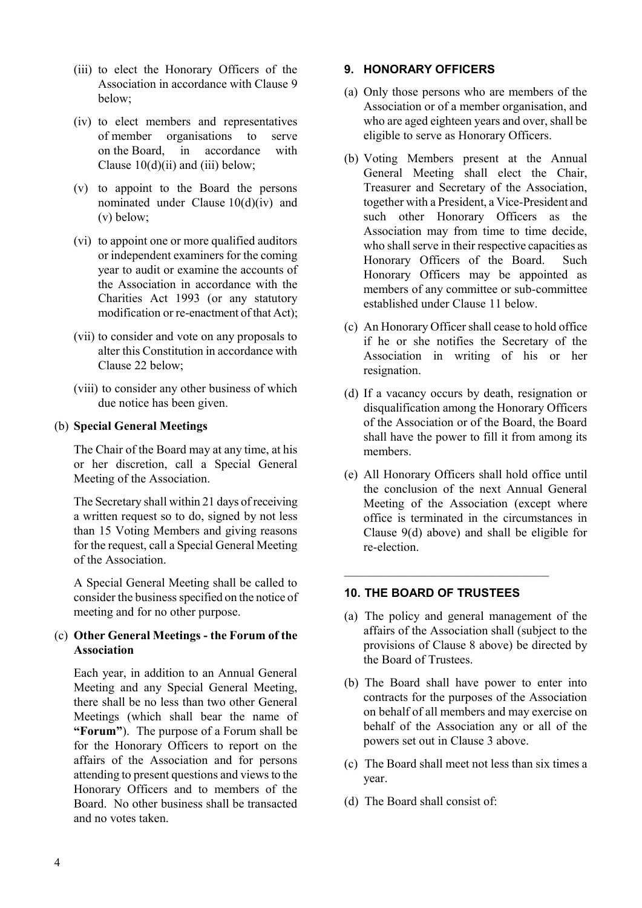- (iii) to elect the Honorary Officers of the Association in accordance with Clause 9 below;
- (iv) to elect members and representatives of member organisations to serve on the Board, in accordance with Clause  $10(d)(ii)$  and  $(iii)$  below;
- (v) to appoint to the Board the persons nominated under Clause 10(d)(iv) and (v) below;
- (vi) to appoint one or more qualified auditors or independent examiners for the coming year to audit or examine the accounts of the Association in accordance with the Charities Act 1993 (or any statutory modification or re-enactment of that Act);
- (vii) to consider and vote on any proposals to alter this Constitution in accordance with Clause 22 below;
- (viii) to consider any other business of which due notice has been given.

## (b) **Special General Meetings**

The Chair of the Board may at any time, at his or her discretion, call a Special General Meeting of the Association.

The Secretary shall within 21 days of receiving a written request so to do, signed by not less than 15 Voting Members and giving reasons for the request, call a Special General Meeting of the Association.

A Special General Meeting shall be called to consider the business specified on the notice of meeting and for no other purpose.

## (c) **Other General Meetings - the Forum of the Association**

Each year, in addition to an Annual General Meeting and any Special General Meeting, there shall be no less than two other General Meetings (which shall bear the name of **"Forum"**). The purpose of a Forum shall be for the Honorary Officers to report on the affairs of the Association and for persons attending to present questions and views to the Honorary Officers and to members of the Board. No other business shall be transacted and no votes taken.

## **9. HONORARY OFFICERS**

- (a) Only those persons who are members of the Association or of a member organisation, and who are aged eighteen years and over, shall be eligible to serve as Honorary Officers.
- (b) Voting Members present at the Annual General Meeting shall elect the Chair, Treasurer and Secretary of the Association, together with a President, a Vice-President and such other Honorary Officers as the Association may from time to time decide, who shall serve in their respective capacities as Honorary Officers of the Board. Such Honorary Officers may be appointed as members of any committee or sub-committee established under Clause 11 below.
- (c) An Honorary Officer shall cease to hold office if he or she notifies the Secretary of the Association in writing of his or her resignation.
- (d) If a vacancy occurs by death, resignation or disqualification among the Honorary Officers of the Association or of the Board, the Board shall have the power to fill it from among its members.
- (e) All Honorary Officers shall hold office until the conclusion of the next Annual General Meeting of the Association (except where office is terminated in the circumstances in Clause 9(d) above) and shall be eligible for re-election.

## **10. THE BOARD OF TRUSTEES**

 $\mathcal{L}_\text{max}$ 

- (a) The policy and general management of the affairs of the Association shall (subject to the provisions of Clause 8 above) be directed by the Board of Trustees.
- (b) The Board shall have power to enter into contracts for the purposes of the Association on behalf of all members and may exercise on behalf of the Association any or all of the powers set out in Clause 3 above.
- (c) The Board shall meet not less than six times a year.
- (d) The Board shall consist of: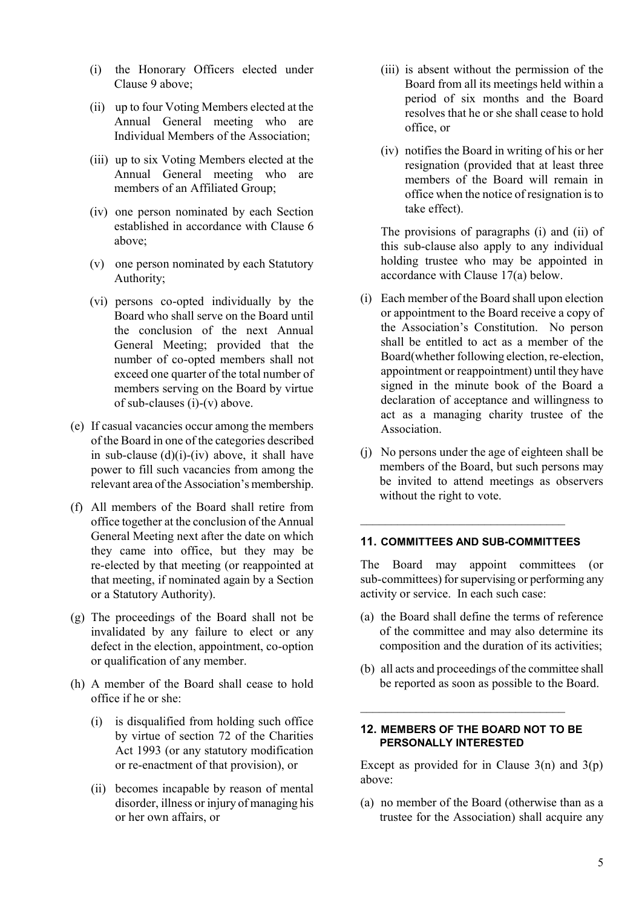- (i) the Honorary Officers elected under Clause 9 above;
- (ii) up to four Voting Members elected at the Annual General meeting who are Individual Members of the Association;
- (iii) up to six Voting Members elected at the Annual General meeting who are members of an Affiliated Group;
- (iv) one person nominated by each Section established in accordance with Clause 6 above;
- (v) one person nominated by each Statutory Authority;
- (vi) persons co-opted individually by the Board who shall serve on the Board until the conclusion of the next Annual General Meeting; provided that the number of co-opted members shall not exceed one quarter of the total number of members serving on the Board by virtue of sub-clauses (i)-(v) above.
- (e) If casual vacancies occur among the members of the Board in one of the categories described in sub-clause  $(d)(i)$ - $(iv)$  above, it shall have power to fill such vacancies from among the relevant area of the Association's membership.
- (f) All members of the Board shall retire from office together at the conclusion of the Annual General Meeting next after the date on which they came into office, but they may be re-elected by that meeting (or reappointed at that meeting, if nominated again by a Section or a Statutory Authority).
- (g) The proceedings of the Board shall not be invalidated by any failure to elect or any defect in the election, appointment, co-option or qualification of any member.
- (h) A member of the Board shall cease to hold office if he or she:
	- (i) is disqualified from holding such office by virtue of section 72 of the Charities Act 1993 (or any statutory modification or re-enactment of that provision), or
	- (ii) becomes incapable by reason of mental disorder, illness or injury of managing his or her own affairs, or
- (iii) is absent without the permission of the Board from all its meetings held within a period of six months and the Board resolves that he or she shall cease to hold office, or
- (iv) notifies the Board in writing of his or her resignation (provided that at least three members of the Board will remain in office when the notice of resignation is to take effect).

The provisions of paragraphs (i) and (ii) of this sub-clause also apply to any individual holding trustee who may be appointed in accordance with Clause 17(a) below.

- (i) Each member of the Board shall upon election or appointment to the Board receive a copy of the Association's Constitution. No person shall be entitled to act as a member of the Board(whether following election, re-election, appointment or reappointment) until they have signed in the minute book of the Board a declaration of acceptance and willingness to act as a managing charity trustee of the Association.
- (j) No persons under the age of eighteen shall be members of the Board, but such persons may be invited to attend meetings as observers without the right to vote.

#### **11. COMMITTEES AND SUB-COMMITTEES**

 $\mathcal{L}_\text{max}$  and  $\mathcal{L}_\text{max}$  and  $\mathcal{L}_\text{max}$  and  $\mathcal{L}_\text{max}$ 

The Board may appoint committees (or sub-committees) for supervising or performing any activity or service. In each such case:

- (a) the Board shall define the terms of reference of the committee and may also determine its composition and the duration of its activities;
- (b) all acts and proceedings of the committee shall be reported as soon as possible to the Board.

#### **12. MEMBERS OF THE BOARD NOT TO BE PERSONALLY INTERESTED**

 $\mathcal{L}_\text{max}$ 

Except as provided for in Clause  $3(n)$  and  $3(p)$ above:

(a) no member of the Board (otherwise than as a trustee for the Association) shall acquire any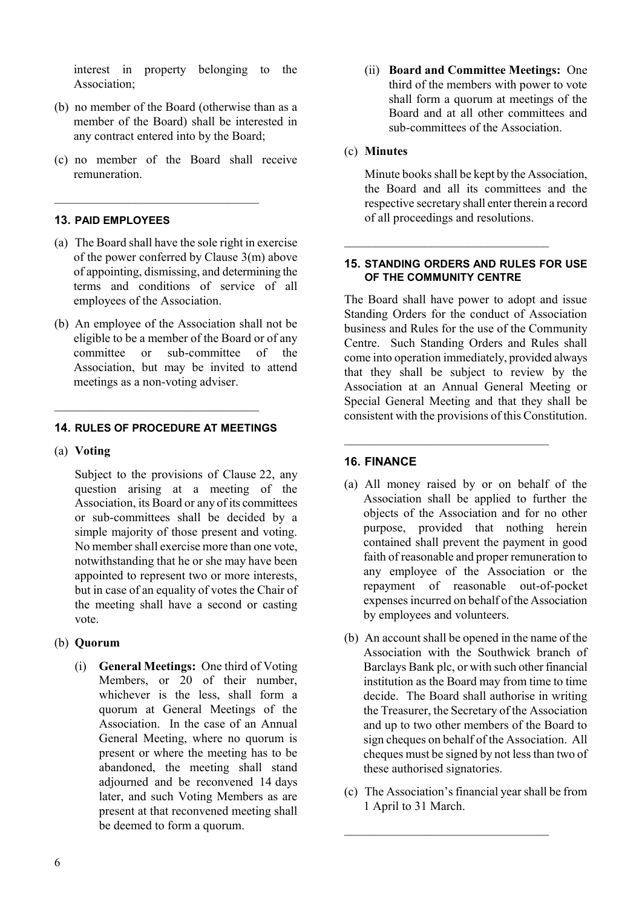interest in property belonging to the Association;

- (b) no member of the Board (otherwise than as a member of the Board) shall be interested in any contract entered into by the Board;
- (c) no member of the Board shall receive remuneration.

 $\mathcal{L}_\text{max}$ 

## **13. PAID EMPLOYEES**

- (a) The Board shall have the sole right in exercise of the power conferred by Clause 3(m) above of appointing, dismissing, and determining the terms and conditions of service of all employees of the Association.
- (b) An employee of the Association shall not be eligible to be a member of the Board or of any committee or sub-committee of the Association, but may be invited to attend meetings as a non-voting adviser.

#### **14. RULES OF PROCEDURE AT MEETINGS**

 $\frac{1}{2}$  , and the set of the set of the set of the set of the set of the set of the set of the set of the set of the set of the set of the set of the set of the set of the set of the set of the set of the set of the set

#### (a) **Voting**

Subject to the provisions of Clause 22, any question arising at a meeting of the Association, its Board or any of its committees or sub-committees shall be decided by a simple majority of those present and voting. No member shall exercise more than one vote, notwithstanding that he or she may have been appointed to represent two or more interests, but in case of an equality of votes the Chair of the meeting shall have a second or casting vote.

## (b) **Quorum**

(i) **General Meetings:** One third of Voting Members, or 20 of their number, whichever is the less, shall form a quorum at General Meetings of the Association. In the case of an Annual General Meeting, where no quorum is present or where the meeting has to be abandoned, the meeting shall stand adjourned and be reconvened 14 days later, and such Voting Members as are present at that reconvened meeting shall be deemed to form a quorum.

(ii) **Board and Committee Meetings:** One third of the members with power to vote shall form a quorum at meetings of the Board and at all other committees and sub-committees of the Association.

#### (c) **Minutes**

Minute books shall be kept by the Association, the Board and all its committees and the respective secretary shall enter therein a record of all proceedings and resolutions.

#### **15. STANDING ORDERS AND RULES FOR USE OF THE COMMUNITY CENTRE**

 $\mathcal{L}_\text{max}$  and  $\mathcal{L}_\text{max}$  and  $\mathcal{L}_\text{max}$  and  $\mathcal{L}_\text{max}$ 

The Board shall have power to adopt and issue Standing Orders for the conduct of Association business and Rules for the use of the Community Centre. Such Standing Orders and Rules shall come into operation immediately, provided always that they shall be subject to review by the Association at an Annual General Meeting or Special General Meeting and that they shall be consistent with the provisions of this Constitution.

 $\mathcal{L}_\text{max}$  and  $\mathcal{L}_\text{max}$  and  $\mathcal{L}_\text{max}$  and  $\mathcal{L}_\text{max}$ 

#### **16. FINANCE**

- (a) All money raised by or on behalf of the Association shall be applied to further the objects of the Association and for no other purpose, provided that nothing herein contained shall prevent the payment in good faith of reasonable and proper remuneration to any employee of the Association or the repayment of reasonable out-of-pocket expenses incurred on behalf of the Association by employees and volunteers.
- (b) An account shall be opened in the name of the Association with the Southwick branch of Barclays Bank plc, or with such other financial institution as the Board may from time to time decide. The Board shall authorise in writing the Treasurer, the Secretary of the Association and up to two other members of the Board to sign cheques on behalf of the Association. All cheques must be signed by not less than two of these authorised signatories.
- (c) The Association's financial year shall be from 1 April to 31 March.

 $\mathcal{L}_\text{max}$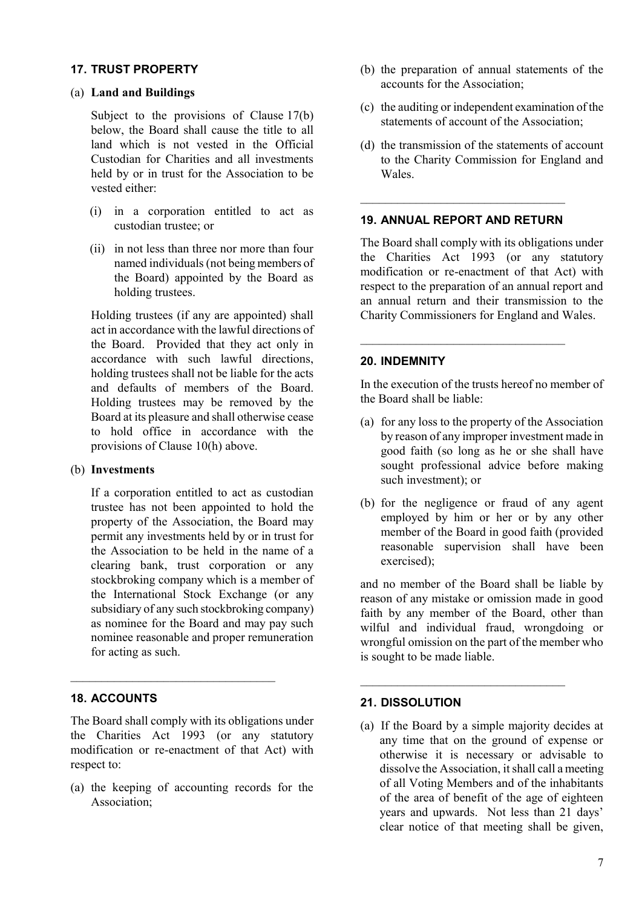## **17. TRUST PROPERTY**

#### (a) **Land and Buildings**

Subject to the provisions of Clause 17(b) below, the Board shall cause the title to all land which is not vested in the Official Custodian for Charities and all investments held by or in trust for the Association to be vested either:

- (i) in a corporation entitled to act as custodian trustee; or
- (ii) in not less than three nor more than four named individuals (not being members of the Board) appointed by the Board as holding trustees.

Holding trustees (if any are appointed) shall act in accordance with the lawful directions of the Board. Provided that they act only in accordance with such lawful directions, holding trustees shall not be liable for the acts and defaults of members of the Board. Holding trustees may be removed by the Board at its pleasure and shall otherwise cease to hold office in accordance with the provisions of Clause 10(h) above.

## (b) **Investments**

If a corporation entitled to act as custodian trustee has not been appointed to hold the property of the Association, the Board may permit any investments held by or in trust for the Association to be held in the name of a clearing bank, trust corporation or any stockbroking company which is a member of the International Stock Exchange (or any subsidiary of any such stockbroking company) as nominee for the Board and may pay such nominee reasonable and proper remuneration for acting as such.

## **18. ACCOUNTS**

The Board shall comply with its obligations under the Charities Act 1993 (or any statutory modification or re-enactment of that Act) with respect to:

\_\_\_\_\_\_\_\_\_\_\_\_\_\_\_\_\_\_\_\_\_\_\_\_\_\_\_\_\_\_\_\_\_

(a) the keeping of accounting records for the Association;

- (b) the preparation of annual statements of the accounts for the Association;
- (c) the auditing or independent examination of the statements of account of the Association;
- (d) the transmission of the statements of account to the Charity Commission for England and **Wales**

# **19. ANNUAL REPORT AND RETURN**

 $\mathcal{L}_\text{max}$  and  $\mathcal{L}_\text{max}$  and  $\mathcal{L}_\text{max}$  and  $\mathcal{L}_\text{max}$ 

 $\mathcal{L}_\text{max}$ 

The Board shall comply with its obligations under the Charities Act 1993 (or any statutory modification or re-enactment of that Act) with respect to the preparation of an annual report and an annual return and their transmission to the Charity Commissioners for England and Wales.

## **20. INDEMNITY**

In the execution of the trusts hereof no member of the Board shall be liable:

- (a) for any loss to the property of the Association by reason of any improper investment made in good faith (so long as he or she shall have sought professional advice before making such investment); or
- (b) for the negligence or fraud of any agent employed by him or her or by any other member of the Board in good faith (provided reasonable supervision shall have been exercised);

and no member of the Board shall be liable by reason of any mistake or omission made in good faith by any member of the Board, other than wilful and individual fraud, wrongdoing or wrongful omission on the part of the member who is sought to be made liable.

 $\mathcal{L}_\text{max}$  and  $\mathcal{L}_\text{max}$  and  $\mathcal{L}_\text{max}$  and  $\mathcal{L}_\text{max}$ 

## **21. DISSOLUTION**

(a) If the Board by a simple majority decides at any time that on the ground of expense or otherwise it is necessary or advisable to dissolve the Association, it shall call a meeting of all Voting Members and of the inhabitants of the area of benefit of the age of eighteen years and upwards. Not less than 21 days' clear notice of that meeting shall be given,